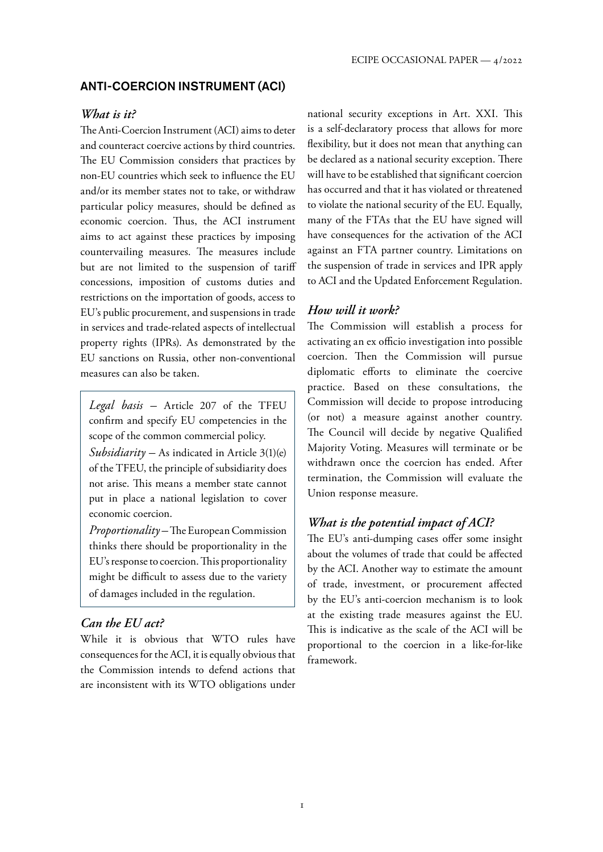#### ANTI-COERCION INSTRUMENT (ACI)

#### *What is it?*

The Anti-Coercion Instrument (ACI) aims to deter and counteract coercive actions by third countries. The EU Commission considers that practices by non-EU countries which seek to influence the EU and/or its member states not to take, or withdraw particular policy measures, should be defined as economic coercion. Thus, the ACI instrument aims to act against these practices by imposing countervailing measures. The measures include but are not limited to the suspension of tariff concessions, imposition of customs duties and restrictions on the importation of goods, access to EU's public procurement, and suspensions in trade in services and trade-related aspects of intellectual property rights (IPRs). As demonstrated by the EU sanctions on Russia, other non-conventional measures can also be taken.

*Legal basis –* Article 207 of the TFEU confirm and specify EU competencies in the scope of the common commercial policy.

*Subsidiarity –* As indicated in Article 3(1)(e) of the TFEU, the principle of subsidiarity does not arise. This means a member state cannot put in place a national legislation to cover economic coercion.

*Proportionality –* The European Commission thinks there should be proportionality in the EU's response to coercion. This proportionality might be difficult to assess due to the variety of damages included in the regulation.

#### *Can the EU act?*

While it is obvious that WTO rules have consequences for the ACI, it is equally obvious that the Commission intends to defend actions that are inconsistent with its WTO obligations under

national security exceptions in Art. XXI. This is a self-declaratory process that allows for more flexibility, but it does not mean that anything can be declared as a national security exception. There will have to be established that significant coercion has occurred and that it has violated or threatened to violate the national security of the EU. Equally, many of the FTAs that the EU have signed will have consequences for the activation of the ACI against an FTA partner country. Limitations on the suspension of trade in services and IPR apply to ACI and the Updated Enforcement Regulation.

#### *How will it work?*

The Commission will establish a process for activating an ex officio investigation into possible coercion. Then the Commission will pursue diplomatic efforts to eliminate the coercive practice. Based on these consultations, the Commission will decide to propose introducing (or not) a measure against another country. The Council will decide by negative Qualified Majority Voting. Measures will terminate or be withdrawn once the coercion has ended. After termination, the Commission will evaluate the Union response measure.

#### *What is the potential impact of ACI?*

The EU's anti-dumping cases offer some insight about the volumes of trade that could be affected by the ACI. Another way to estimate the amount of trade, investment, or procurement affected by the EU's anti-coercion mechanism is to look at the existing trade measures against the EU. This is indicative as the scale of the ACI will be proportional to the coercion in a like-for-like framework.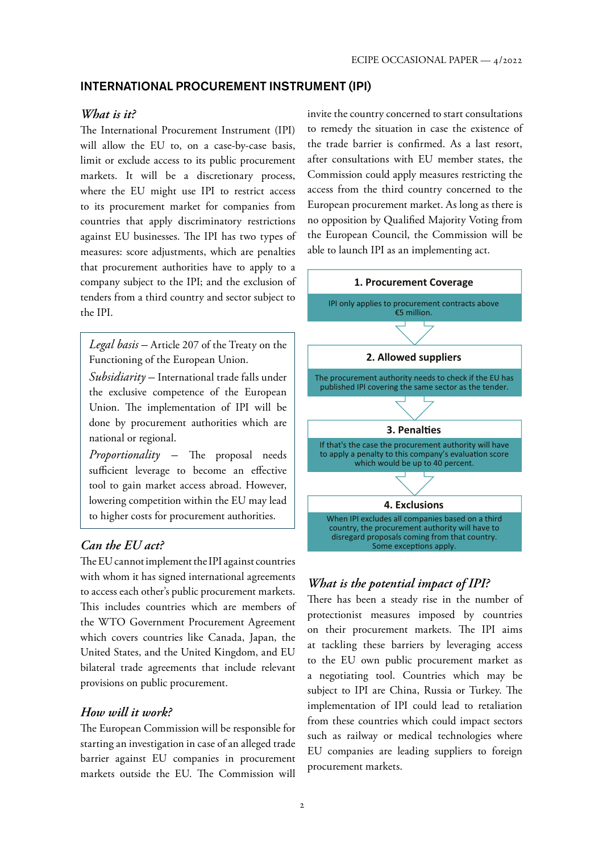## INTERNATIONAL PROCUREMENT INSTRUMENT (IPI)

#### *What is it?*

The International Procurement Instrument (IPI) will allow the EU to, on a case-by-case basis, limit or exclude access to its public procurement markets. It will be a discretionary process, where the EU might use IPI to restrict access to its procurement market for companies from countries that apply discriminatory restrictions against EU businesses. The IPI has two types of measures: score adjustments, which are penalties that procurement authorities have to apply to a company subject to the IPI; and the exclusion of tenders from a third country and sector subject to the IPI.

*Legal basis –* Article 207 of the Treaty on the Functioning of the European Union.

*Subsidiarity –* International trade falls under the exclusive competence of the European Union. The implementation of IPI will be done by procurement authorities which are national or regional.

*Proportionality –* The proposal needs sufficient leverage to become an effective tool to gain market access abroad. However, lowering competition within the EU may lead to higher costs for procurement authorities.

## *Can the EU act?*

The EU cannot implement the IPI against countries with whom it has signed international agreements to access each other's public procurement markets. This includes countries which are members of the WTO Government Procurement Agreement which covers countries like Canada, Japan, the United States, and the United Kingdom, and EU bilateral trade agreements that include relevant provisions on public procurement.

#### *How will it work?*

The European Commission will be responsible for starting an investigation in case of an alleged trade barrier against EU companies in procurement markets outside the EU. The Commission will

invite the country concerned to start consultations to remedy the situation in case the existence of the trade barrier is confirmed. As a last resort, after consultations with EU member states, the Commission could apply measures restricting the access from the third country concerned to the European procurement market. As long as there is no opposition by Qualified Majority Voting from the European Council, the Commission will be able to launch IPI as an implementing act.



## *What is the potential impact of IPI?*

There has been a steady rise in the number of protectionist measures imposed by countries on their procurement markets. The IPI aims at tackling these barriers by leveraging access to the EU own public procurement market as a negotiating tool. Countries which may be subject to IPI are China, Russia or Turkey. The implementation of IPI could lead to retaliation from these countries which could impact sectors such as railway or medical technologies where EU companies are leading suppliers to foreign procurement markets.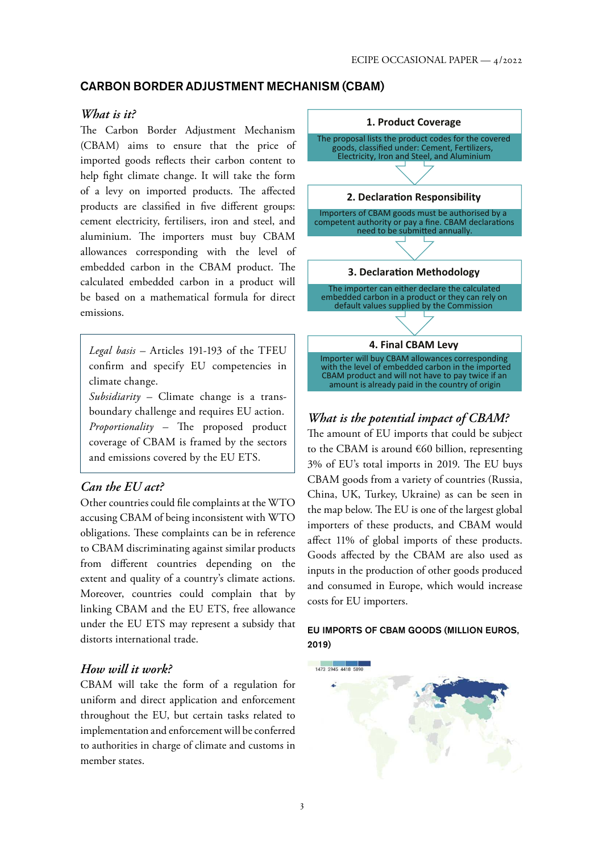## CARBON BORDER ADJUSTMENT MECHANISM (CBAM)

#### *What is it?*

The Carbon Border Adjustment Mechanism (CBAM) aims to ensure that the price of imported goods reflects their carbon content to help fight climate change. It will take the form of a levy on imported products. The affected products are classified in five different groups: cement electricity, fertilisers, iron and steel, and aluminium. The importers must buy CBAM allowances corresponding with the level of embedded carbon in the CBAM product. The calculated embedded carbon in a product will be based on a mathematical formula for direct emissions.

*Legal basis –* Articles 191-193 of the TFEU confirm and specify EU competencies in climate change.

*Subsidiarity –* Climate change is a transboundary challenge and requires EU action. *Proportionality –* The proposed product coverage of CBAM is framed by the sectors and emissions covered by the EU ETS.

## *Can the EU act?*

Other countries could file complaints at the WTO accusing CBAM of being inconsistent with WTO obligations. These complaints can be in reference to CBAM discriminating against similar products from different countries depending on the extent and quality of a country's climate actions. Moreover, countries could complain that by linking CBAM and the EU ETS, free allowance under the EU ETS may represent a subsidy that distorts international trade.

### *How will it work?*

CBAM will take the form of a regulation for uniform and direct application and enforcement throughout the EU, but certain tasks related to implementation and enforcement will be conferred to authorities in charge of climate and customs in member states.



# *What is the potential impact of CBAM?*

The amount of EU imports that could be subject to the CBAM is around  $\epsilon$ 60 billion, representing 3% of EU's total imports in 2019. The EU buys CBAM goods from a variety of countries (Russia, China, UK, Turkey, Ukraine) as can be seen in the map below. The EU is one of the largest global importers of these products, and CBAM would affect 11% of global imports of these products. Goods affected by the CBAM are also used as inputs in the production of other goods produced and consumed in Europe, which would increase costs for EU importers.

#### EU IMPORTS OF CBAM GOODS (MILLION EUROS, 2019)

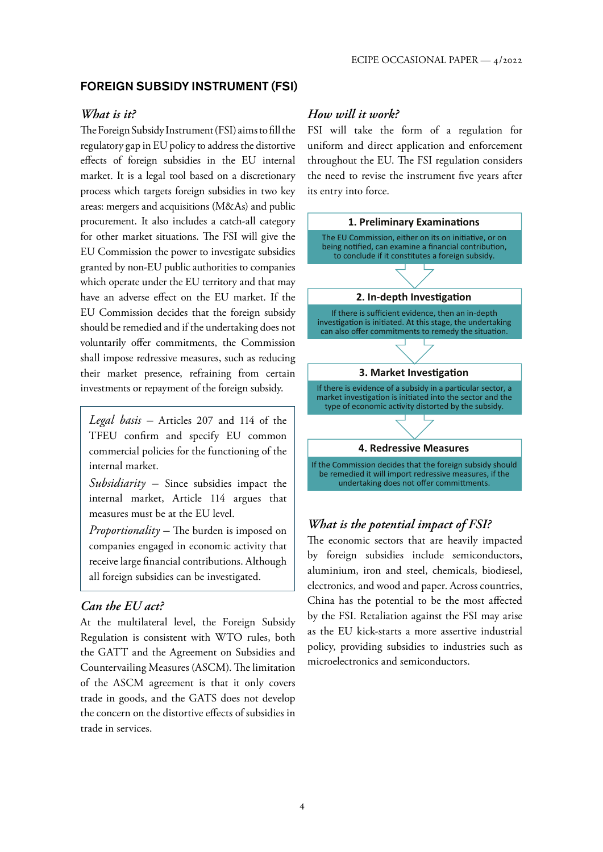## FOREIGN SUBSIDY INSTRUMENT (FSI)

#### *What is it?*

The Foreign Subsidy Instrument (FSI) aims to fill the regulatory gap in EU policy to address the distortive effects of foreign subsidies in the EU internal market. It is a legal tool based on a discretionary process which targets foreign subsidies in two key areas: mergers and acquisitions (M&As) and public procurement. It also includes a catch-all category for other market situations. The FSI will give the EU Commission the power to investigate subsidies granted by non-EU public authorities to companies which operate under the EU territory and that may have an adverse effect on the EU market. If the EU Commission decides that the foreign subsidy should be remedied and if the undertaking does not voluntarily offer commitments, the Commission shall impose redressive measures, such as reducing their market presence, refraining from certain investments or repayment of the foreign subsidy.

*Legal basis –* Articles 207 and 114 of the TFEU confirm and specify EU common commercial policies for the functioning of the internal market.

*Subsidiarity –* Since subsidies impact the internal market, Article 114 argues that measures must be at the EU level.

*Proportionality –* The burden is imposed on companies engaged in economic activity that receive large financial contributions. Although all foreign subsidies can be investigated.

#### *Can the EU act?*

At the multilateral level, the Foreign Subsidy Regulation is consistent with WTO rules, both the GATT and the Agreement on Subsidies and Countervailing Measures (ASCM). The limitation of the ASCM agreement is that it only covers trade in goods, and the GATS does not develop the concern on the distortive effects of subsidies in trade in services.

## *How will it work?*

FSI will take the form of a regulation for uniform and direct application and enforcement throughout the EU. The FSI regulation considers the need to revise the instrument five years after its entry into force.



## *What is the potential impact of FSI?*

The economic sectors that are heavily impacted by foreign subsidies include semiconductors, aluminium, iron and steel, chemicals, biodiesel, electronics, and wood and paper. Across countries, China has the potential to be the most affected by the FSI. Retaliation against the FSI may arise as the EU kick-starts a more assertive industrial policy, providing subsidies to industries such as microelectronics and semiconductors.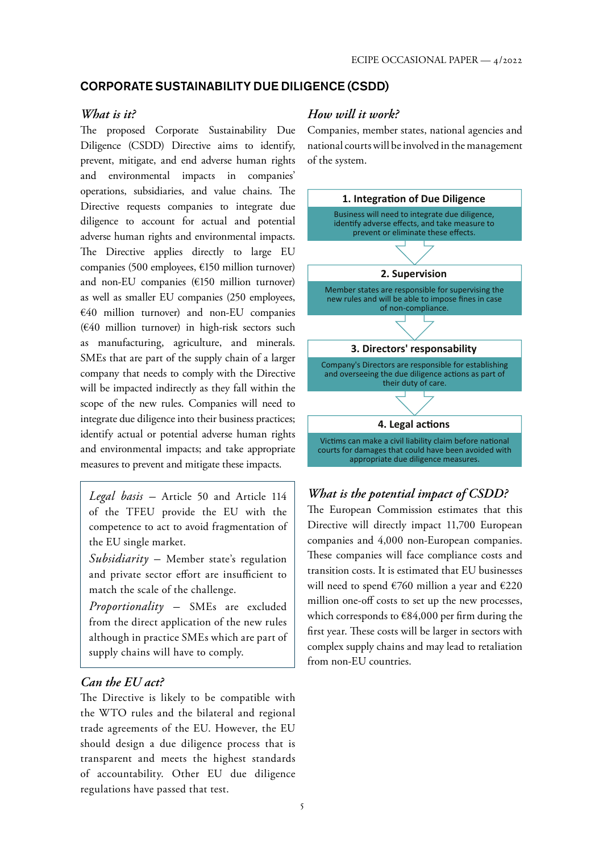## CORPORATE SUSTAINABILITY DUE DILIGENCE (CSDD)

#### *What is it?*

The proposed Corporate Sustainability Due Diligence (CSDD) Directive aims to identify, prevent, mitigate, and end adverse human rights and environmental impacts in companies' operations, subsidiaries, and value chains. The Directive requests companies to integrate due diligence to account for actual and potential adverse human rights and environmental impacts. The Directive applies directly to large EU companies (500 employees, €150 million turnover) and non-EU companies (€150 million turnover) as well as smaller EU companies (250 employees, €40 million turnover) and non-EU companies (€40 million turnover) in high-risk sectors such as manufacturing, agriculture, and minerals. SMEs that are part of the supply chain of a larger company that needs to comply with the Directive will be impacted indirectly as they fall within the scope of the new rules. Companies will need to integrate due diligence into their business practices; identify actual or potential adverse human rights and environmental impacts; and take appropriate measures to prevent and mitigate these impacts.

*Legal basis –* Article 50 and Article 114 of the TFEU provide the EU with the competence to act to avoid fragmentation of the EU single market.

*Subsidiarity –* Member state's regulation and private sector effort are insufficient to match the scale of the challenge.

*Proportionality –* SMEs are excluded from the direct application of the new rules although in practice SMEs which are part of supply chains will have to comply.

## *Can the EU act?*

The Directive is likely to be compatible with the WTO rules and the bilateral and regional trade agreements of the EU. However, the EU should design a due diligence process that is transparent and meets the highest standards of accountability. Other EU due diligence regulations have passed that test.

## *How will it work?*

Companies, member states, national agencies and national courts will be involved in the management of the system.



# *What is the potential impact of CSDD?*

The European Commission estimates that this Directive will directly impact 11,700 European companies and 4,000 non-European companies. These companies will face compliance costs and transition costs. It is estimated that EU businesses will need to spend  $\epsilon$ 760 million a year and  $\epsilon$ 220 million one-off costs to set up the new processes, which corresponds to €84,000 per firm during the first year. These costs will be larger in sectors with complex supply chains and may lead to retaliation from non-EU countries.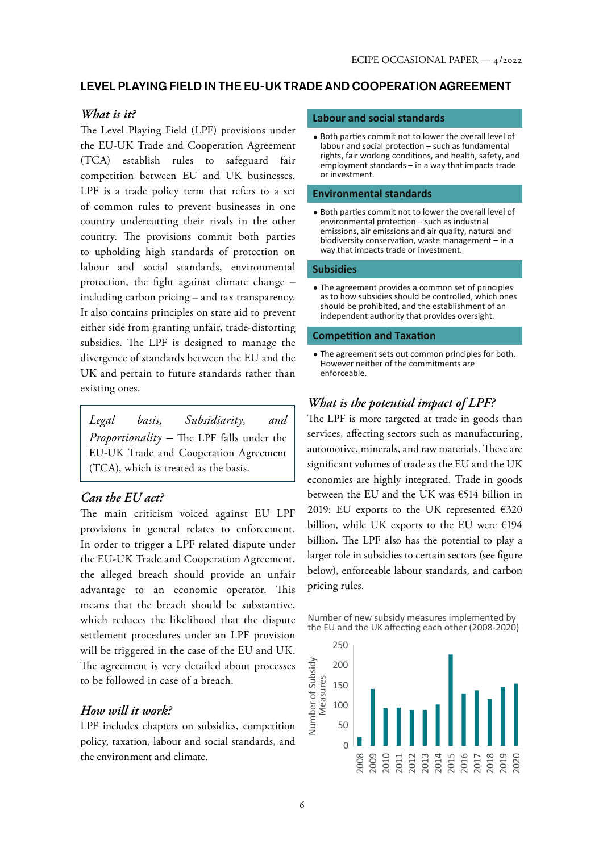## LEVEL PLAYING FIELD IN THE EU-UK TRADE AND COOPERATION AGREEMENT

### *What is it?*

The Level Playing Field (LPF) provisions under the EU-UK Trade and Cooperation Agreement (TCA) establish rules to safeguard fair competition between EU and UK businesses. LPF is a trade policy term that refers to a set of common rules to prevent businesses in one country undercutting their rivals in the other country. The provisions commit both parties to upholding high standards of protection on labour and social standards, environmental protection, the fight against climate change –

including carbon pricing – and tax transparency. It also contains principles on state aid to prevent either side from granting unfair, trade-distorting subsidies. The LPF is designed to manage the divergence of standards between the EU and the UK and pertain to future standards rather than existing ones.

*Legal basis, Subsidiarity, and Proportionality –* The LPF falls under the EU-UK Trade and Cooperation Agreement (TCA), which is treated as the basis.

### *Can the EU act?*

The main criticism voiced against EU LPF provisions in general relates to enforcement. In order to trigger a LPF related dispute under the EU-UK Trade and Cooperation Agreement, the alleged breach should provide an unfair advantage to an economic operator. This means that the breach should be substantive, which reduces the likelihood that the dispute settlement procedures under an LPF provision will be triggered in the case of the EU and UK. The agreement is very detailed about processes to be followed in case of a breach.

### *How will it work?*

LPF includes chapters on subsidies, competition policy, taxation, labour and social standards, and the environment and climate.

#### **Labour and social standards**

• Both parties commit not to lower the overall level of  $labor and social protection - such as fundamental$ rights, fair working conditions, and health, safety, and employment standards – in a way that impacts trade or investment.

#### **Environmental standards**

• Both parties commit not to lower the overall level of  $environmental protection - such as industrial$ emissions, air emissions and air quality, natural and biodiversity conservation, waste management  $-$  in a way that impacts trade or investment.

#### **Subsidies**

The agreement provides a common set of principles as to how subsidies should be controlled, which ones should be prohibited, and the establishment of an independent authority that provides oversight.

#### **Competition and Taxation**

The agreement sets out common principles for both. However neither of the commitments are enforceable.

## *What is the potential impact of LPF?*

The LPF is more targeted at trade in goods than services, affecting sectors such as manufacturing, automotive, minerals, and raw materials. These are significant volumes of trade as the EU and the UK economies are highly integrated. Trade in goods between the EU and the UK was €514 billion in 2019: EU exports to the UK represented €320 billion, while UK exports to the EU were €194 billion. The LPF also has the potential to play a larger role in subsidies to certain sectors (see figure below), enforceable labour standards, and carbon pricing rules.

Number of new subsidy measures implemented by the EU and the UK affecting each other (2008-2020)

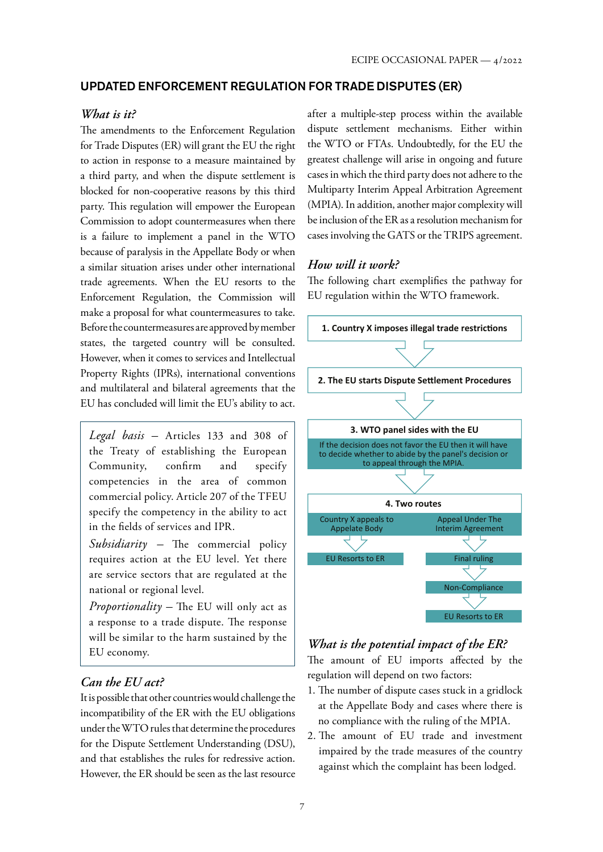### UPDATED ENFORCEMENT REGULATION FOR TRADE DISPUTES (ER)

#### *What is it?*

The amendments to the Enforcement Regulation for Trade Disputes (ER) will grant the EU the right to action in response to a measure maintained by a third party, and when the dispute settlement is blocked for non-cooperative reasons by this third party. This regulation will empower the European Commission to adopt countermeasures when there is a failure to implement a panel in the WTO because of paralysis in the Appellate Body or when a similar situation arises under other international trade agreements. When the EU resorts to the Enforcement Regulation, the Commission will make a proposal for what countermeasures to take. Before the countermeasures are approved by member states, the targeted country will be consulted. However, when it comes to services and Intellectual Property Rights (IPRs), international conventions and multilateral and bilateral agreements that the EU has concluded will limit the EU's ability to act.

*Legal basis –* Articles 133 and 308 of the Treaty of establishing the European Community, confirm and specify competencies in the area of common commercial policy. Article 207 of the TFEU specify the competency in the ability to act in the fields of services and IPR.

*Subsidiarity –* The commercial policy requires action at the EU level. Yet there are service sectors that are regulated at the national or regional level.

*Proportionality –* The EU will only act as a response to a trade dispute. The response will be similar to the harm sustained by the EU economy.

## *Can the EU act?*

It is possible that other countries would challenge the incompatibility of the ER with the EU obligations under the WTO rules that determine the procedures for the Dispute Settlement Understanding (DSU), and that establishes the rules for redressive action. However, the ER should be seen as the last resource after a multiple-step process within the available dispute settlement mechanisms. Either within the WTO or FTAs. Undoubtedly, for the EU the greatest challenge will arise in ongoing and future cases in which the third party does not adhere to the Multiparty Interim Appeal Arbitration Agreement (MPIA). In addition, another major complexity will be inclusion of the ER as a resolution mechanism for cases involving the GATS or the TRIPS agreement.

#### *How will it work?*

The following chart exemplifies the pathway for EU regulation within the WTO framework.



## *What is the potential impact of the ER?*

The amount of EU imports affected by the regulation will depend on two factors:

- 1. The number of dispute cases stuck in a gridlock at the Appellate Body and cases where there is no compliance with the ruling of the MPIA.
- 2. The amount of EU trade and investment impaired by the trade measures of the country against which the complaint has been lodged.